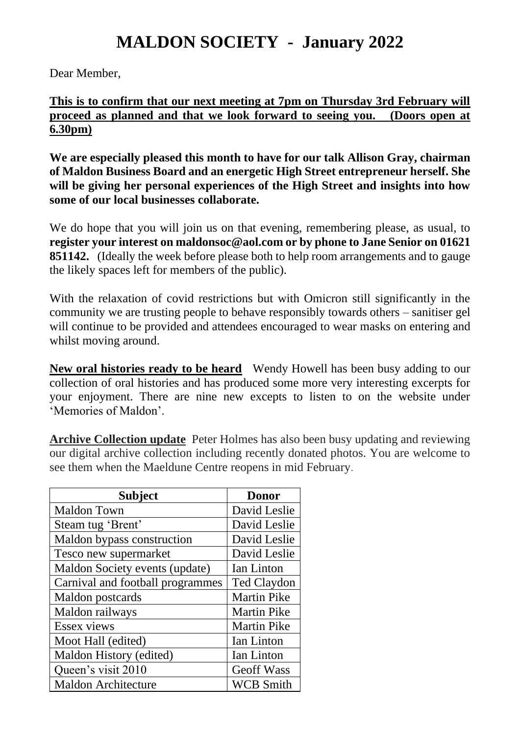## **MALDON SOCIETY - January 2022**

Dear Member,

**This is to confirm that our next meeting at 7pm on Thursday 3rd February will proceed as planned and that we look forward to seeing you. (Doors open at 6.30pm)**

**We are especially pleased this month to have for our talk Allison Gray, chairman of Maldon Business Board and an energetic High Street entrepreneur herself. She will be giving her personal experiences of the High Street and insights into how some of our local businesses collaborate.**

We do hope that you will join us on that evening, remembering please, as usual, to **register your interest on maldonsoc@aol.com or by phone to Jane Senior on 01621 851142.** (Ideally the week before please both to help room arrangements and to gauge the likely spaces left for members of the public).

With the relaxation of covid restrictions but with Omicron still significantly in the community we are trusting people to behave responsibly towards others – sanitiser gel will continue to be provided and attendees encouraged to wear masks on entering and whilst moving around.

**New oral histories ready to be heard** Wendy Howell has been busy adding to our collection of oral histories and has produced some more very interesting excerpts for your enjoyment. There are nine new excepts to listen to on the website under 'Memories of Maldon'.

**Archive Collection update** Peter Holmes has also been busy updating and reviewing our digital archive collection including recently donated photos. You are welcome to see them when the Maeldune Centre reopens in mid February.

| <b>Subject</b>                   | <b>Donor</b>       |
|----------------------------------|--------------------|
| <b>Maldon Town</b>               | David Leslie       |
| Steam tug 'Brent'                | David Leslie       |
| Maldon bypass construction       | David Leslie       |
| Tesco new supermarket            | David Leslie       |
| Maldon Society events (update)   | Ian Linton         |
| Carnival and football programmes | Ted Claydon        |
| Maldon postcards                 | <b>Martin Pike</b> |
| Maldon railways                  | <b>Martin Pike</b> |
| Essex views                      | <b>Martin Pike</b> |
| Moot Hall (edited)               | Ian Linton         |
| Maldon History (edited)          | Ian Linton         |
| Queen's visit 2010               | <b>Geoff Wass</b>  |
| <b>Maldon Architecture</b>       | <b>WCB Smith</b>   |